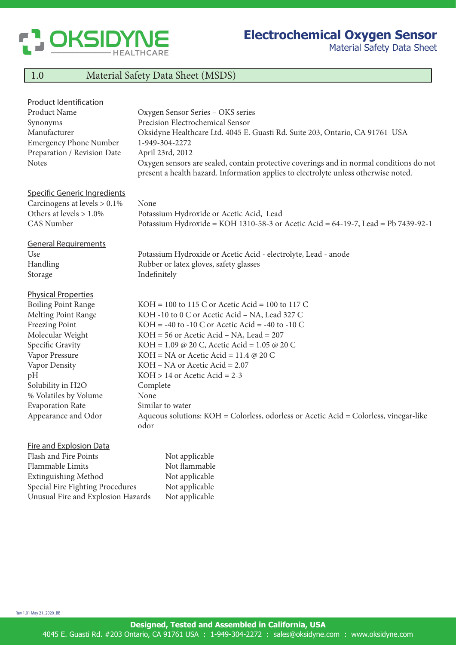

Material Safety Data Sheet

## 1.0 Material Safety Data Sheet (MSDS)

| <b>Product Identification</b>                     |                                                                                                                                                                                |
|---------------------------------------------------|--------------------------------------------------------------------------------------------------------------------------------------------------------------------------------|
| Product Name                                      | Oxygen Sensor Series - OKS series                                                                                                                                              |
| Synonyms                                          | Precision Electrochemical Sensor                                                                                                                                               |
| Manufacturer                                      | Oksidyne Healthcare Ltd. 4045 E. Guasti Rd. Suite 203, Ontario, CA 91761 USA                                                                                                   |
| <b>Emergency Phone Number</b>                     | 1-949-304-2272                                                                                                                                                                 |
| Preparation / Revision Date                       | April 23rd, 2012                                                                                                                                                               |
| <b>Notes</b>                                      | Oxygen sensors are sealed, contain protective coverings and in normal conditions do not<br>present a health hazard. Information applies to electrolyte unless otherwise noted. |
| Specific Generic Ingredients                      |                                                                                                                                                                                |
| Carcinogens at levels $> 0.1\%$                   | None                                                                                                                                                                           |
| Others at levels $> 1.0\%$                        | Potassium Hydroxide or Acetic Acid, Lead                                                                                                                                       |
| <b>CAS</b> Number                                 | Potassium Hydroxide = KOH 1310-58-3 or Acetic Acid = 64-19-7, Lead = Pb 7439-92-1                                                                                              |
| <b>General Requirements</b>                       |                                                                                                                                                                                |
| Use                                               | Potassium Hydroxide or Acetic Acid - electrolyte, Lead - anode                                                                                                                 |
| Handling                                          | Rubber or latex gloves, safety glasses                                                                                                                                         |
| Storage                                           | Indefinitely                                                                                                                                                                   |
|                                                   |                                                                                                                                                                                |
| <b>Physical Properties</b>                        | $KOH = 100$ to 115 C or Acetic Acid = 100 to 117 C                                                                                                                             |
| <b>Boiling Point Range</b><br>Melting Point Range |                                                                                                                                                                                |
|                                                   | KOH -10 to 0 C or Acetic Acid - NA, Lead 327 C<br>$KOH = -40$ to $-10$ C or Acetic Acid = $-40$ to $-10$ C                                                                     |
| <b>Freezing Point</b><br>Molecular Weight         | $KOH = 56$ or Acetic Acid – NA, Lead = 207                                                                                                                                     |
| Specific Gravity                                  | KOH = $1.09 \text{ } @$ 20 C, Acetic Acid = $1.05 \text{ } @$ 20 C                                                                                                             |
| Vapor Pressure                                    | $KOH = NA$ or Acetic Acid = 11.4 @ 20 C                                                                                                                                        |
| Vapor Density                                     | $KOH - NA$ or Acetic Acid = 2.07                                                                                                                                               |
| pH                                                | $KOH > 14$ or Acetic Acid = 2-3                                                                                                                                                |
| Solubility in H2O                                 | Complete                                                                                                                                                                       |
| % Volatiles by Volume                             | None                                                                                                                                                                           |
| <b>Evaporation Rate</b>                           | Similar to water                                                                                                                                                               |
| Appearance and Odor                               | Aqueous solutions: KOH = Colorless, odorless or Acetic Acid = Colorless, vinegar-like                                                                                          |
|                                                   | odor                                                                                                                                                                           |
| <b>Fire and Explosion Data</b>                    |                                                                                                                                                                                |
| Flash and Fire Points                             | Not applicable                                                                                                                                                                 |
| Flammable Limits                                  | Not flammable                                                                                                                                                                  |
|                                                   |                                                                                                                                                                                |

Extinguishing Method Not applicable Special Fire Fighting Procedures Not applicable Unusual Fire and Explosion Hazards Not applicable

Rev 1.01 May 21\_2020\_BB